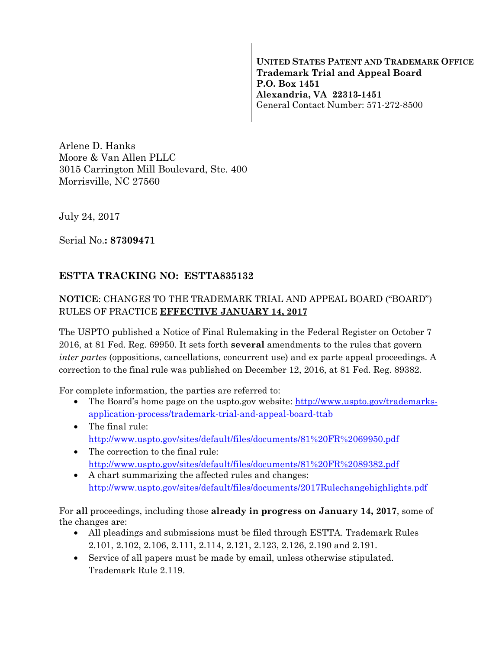**UNITED STATES PATENT AND TRADEMARK OFFICE Trademark Trial and Appeal Board P.O. Box 1451 Alexandria, VA 22313-1451**  General Contact Number: 571-272-8500

Arlene D. Hanks Moore & Van Allen PLLC 3015 Carrington Mill Boulevard, Ste. 400 Morrisville, NC 27560

July 24, 2017

Serial No.**: 87309471** 

## **ESTTA TRACKING NO: ESTTA835132**

## **NOTICE**: CHANGES TO THE TRADEMARK TRIAL AND APPEAL BOARD ("BOARD") RULES OF PRACTICE **EFFECTIVE JANUARY 14, 2017**

The USPTO published a Notice of Final Rulemaking in the Federal Register on October 7 2016, at 81 Fed. Reg. 69950. It sets forth **several** amendments to the rules that govern *inter partes* (oppositions, cancellations, concurrent use) and ex parte appeal proceedings. A correction to the final rule was published on December 12, 2016, at 81 Fed. Reg. 89382.

For complete information, the parties are referred to:

- The Board's home page on the uspto.gov website: http://www.uspto.gov/trademarksapplication-process/trademark-trial-and-appeal-board-ttab
- The final rule: http://www.uspto.gov/sites/default/files/documents/81%20FR%2069950.pdf
- The correction to the final rule: http://www.uspto.gov/sites/default/files/documents/81%20FR%2089382.pdf
- A chart summarizing the affected rules and changes: http://www.uspto.gov/sites/default/files/documents/2017Rulechangehighlights.pdf

For **all** proceedings, including those **already in progress on January 14, 2017**, some of the changes are:

- All pleadings and submissions must be filed through ESTTA. Trademark Rules 2.101, 2.102, 2.106, 2.111, 2.114, 2.121, 2.123, 2.126, 2.190 and 2.191.
- Service of all papers must be made by email, unless otherwise stipulated. Trademark Rule 2.119.